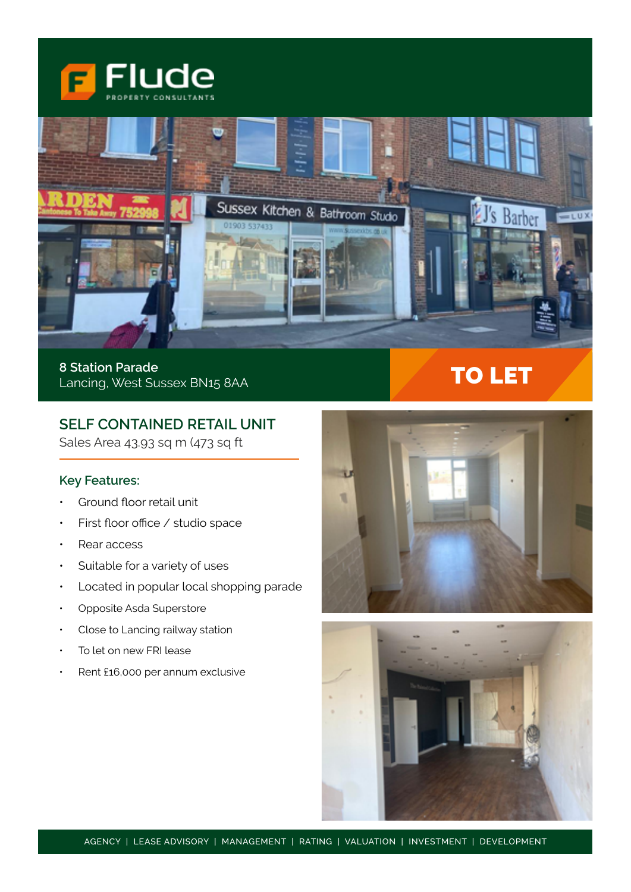



**8 Station Parade** Lancing, West Sussex BN15 8AA

# **SELF CONTAINED RETAIL UNIT**

Sales Area 43.93 sq m (473 sq ft

# **Key Features:**

- Ground floor retail unit
- First floor office / studio space
- Rear access
- Suitable for a variety of uses
- Located in popular local shopping parade
- Opposite Asda Superstore
- Close to Lancing railway station
- To let on new FRI lease
- Rent £16,000 per annum exclusive



TO LET